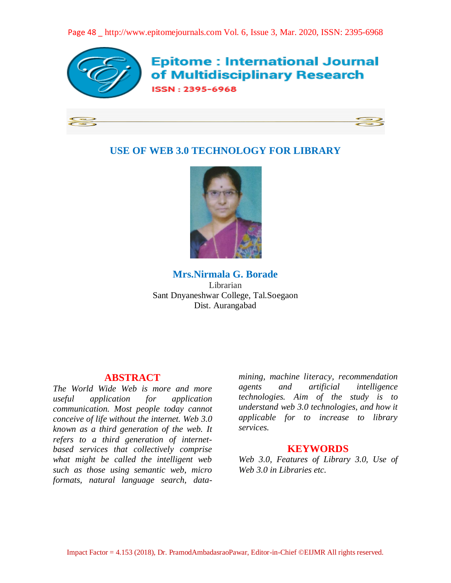Page 48 \_ http://www.epitomejournals.com Vol. 6, Issue 3, Mar. 2020, ISSN: 2395-6968



**Epitome: International Journal** of Multidisciplinary Research **ISSN: 2395-6968** 

# **USE OF WEB 3.0 TECHNOLOGY FOR LIBRARY**



**Mrs.Nirmala G. Borade** Librarian Sant Dnyaneshwar College, Tal.Soegaon Dist. Aurangabad

# **ABSTRACT**

*The World Wide Web is more and more useful application for application communication. Most people today cannot conceive of life without the internet. Web 3.0 known as a third generation of the web. It refers to a third generation of internetbased services that collectively comprise what might be called the intelligent web such as those using semantic web, micro formats, natural language search, data-* *mining, machine literacy, recommendation agents and artificial intelligence technologies. Aim of the study is to understand web 3.0 technologies, and how it applicable for to increase to library services.*

# **KEYWORDS**

*Web 3.0, Features of Library 3.0, Use of Web 3.0 in Libraries etc.*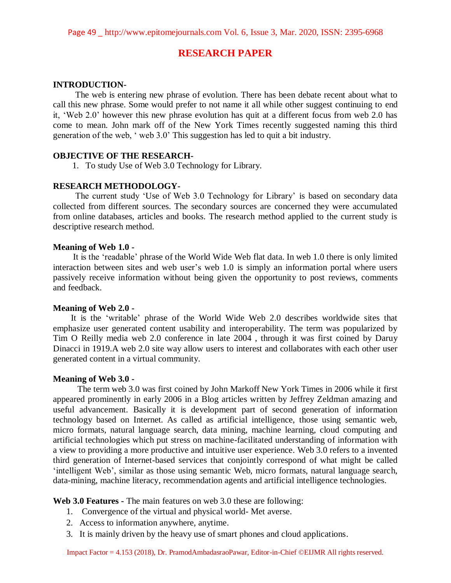# **RESEARCH PAPER**

### **INTRODUCTION-**

The web is entering new phrase of evolution. There has been debate recent about what to call this new phrase. Some would prefer to not name it all while other suggest continuing to end it, 'Web 2.0' however this new phrase evolution has quit at a different focus from web 2.0 has come to mean. John mark off of the New York Times recently suggested naming this third generation of the web, ' web 3.0' This suggestion has led to quit a bit industry.

### **OBJECTIVE OF THE RESEARCH-**

1. To study Use of Web 3.0 Technology for Library.

# **RESEARCH METHODOLOGY-**

 The current study 'Use of Web 3.0 Technology for Library' is based on secondary data collected from different sources. The secondary sources are concerned they were accumulated from online databases, articles and books. The research method applied to the current study is descriptive research method.

#### **Meaning of Web 1.0 -**

It is the 'readable' phrase of the World Wide Web flat data. In web 1.0 there is only limited interaction between sites and web user's web 1.0 is simply an information portal where users passively receive information without being given the opportunity to post reviews, comments and feedback.

### **Meaning of Web 2.0 -**

 It is the 'writable' phrase of the World Wide Web 2.0 describes worldwide sites that emphasize user generated content usability and interoperability. The term was popularized by Tim O Reilly media web 2.0 conference in late 2004 , through it was first coined by Daruy Dinacci in 1919.A web 2.0 site way allow users to interest and collaborates with each other user generated content in a virtual community.

#### **Meaning of Web 3.0 -**

 The term web 3.0 was first coined by John Markoff New York Times in 2006 while it first appeared prominently in early 2006 in a Blog articles written by Jeffrey Zeldman amazing and useful advancement. Basically it is development part of second generation of information technology based on Internet. As called as artificial intelligence, those using semantic web, micro formats, natural language search, data mining, machine learning, cloud computing and artificial technologies which put stress on machine-facilitated understanding of information with a view to providing a more productive and intuitive user experience. Web 3.0 refers to a invented third generation of Internet-based services that conjointly correspond of what might be called 'intelligent Web', similar as those using semantic Web, micro formats, natural language search, data-mining, machine literacy, recommendation agents and artificial intelligence technologies.

**Web 3.0 Features -** The main features on web 3.0 these are following:

- 1. Convergence of the virtual and physical world- Met averse.
- 2. Access to information anywhere, anytime.
- 3. It is mainly driven by the heavy use of smart phones and cloud applications.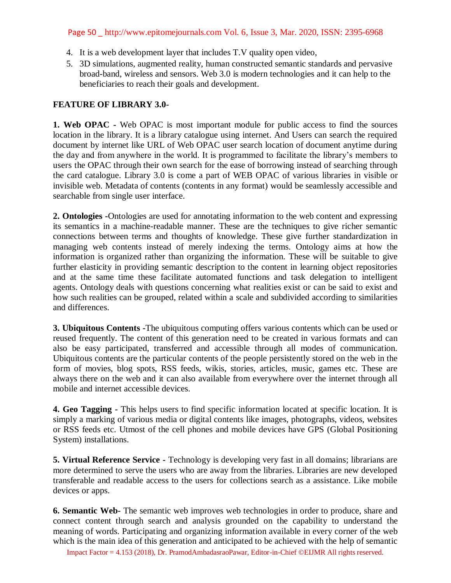# Page 50 \_ http://www.epitomejournals.com Vol. 6, Issue 3, Mar. 2020, ISSN: 2395-6968

- 4. It is a web development layer that includes T.V quality open video,
- 5. 3D simulations, augmented reality, human constructed semantic standards and pervasive broad-band, wireless and sensors. Web 3.0 is modern technologies and it can help to the beneficiaries to reach their goals and development.

# **FEATURE OF LIBRARY 3.0-**

**1. Web OPAC -** Web OPAC is most important module for public access to find the sources location in the library. It is a library catalogue using internet. And Users can search the required document by internet like URL of Web OPAC user search location of document anytime during the day and from anywhere in the world. It is programmed to facilitate the library's members to users the OPAC through their own search for the ease of borrowing instead of searching through the card catalogue. Library 3.0 is come a part of WEB OPAC of various libraries in visible or invisible web. Metadata of contents (contents in any format) would be seamlessly accessible and searchable from single user interface.

**2. Ontologies -**Ontologies are used for annotating information to the web content and expressing its semantics in a machine-readable manner. These are the techniques to give richer semantic connections between terms and thoughts of knowledge. These give further standardization in managing web contents instead of merely indexing the terms. Ontology aims at how the information is organized rather than organizing the information. These will be suitable to give further elasticity in providing semantic description to the content in learning object repositories and at the same time these facilitate automated functions and task delegation to intelligent agents. Ontology deals with questions concerning what realities exist or can be said to exist and how such realities can be grouped, related within a scale and subdivided according to similarities and differences.

**3. Ubiquitous Contents -**The ubiquitous computing offers various contents which can be used or reused frequently. The content of this generation need to be created in various formats and can also be easy participated, transferred and accessible through all modes of communication. Ubiquitous contents are the particular contents of the people persistently stored on the web in the form of movies, blog spots, RSS feeds, wikis, stories, articles, music, games etc. These are always there on the web and it can also available from everywhere over the internet through all mobile and internet accessible devices.

**4. Geo Tagging -** This helps users to find specific information located at specific location. It is simply a marking of various media or digital contents like images, photographs, videos, websites or RSS feeds etc. Utmost of the cell phones and mobile devices have GPS (Global Positioning System) installations.

**5. Virtual Reference Service -** Technology is developing very fast in all domains; librarians are more determined to serve the users who are away from the libraries. Libraries are new developed transferable and readable access to the users for collections search as a assistance. Like mobile devices or apps.

**6. Semantic Web-** The semantic web improves web technologies in order to produce, share and connect content through search and analysis grounded on the capability to understand the meaning of words. Participating and organizing information available in every corner of the web which is the main idea of this generation and anticipated to be achieved with the help of semantic

Impact Factor = 4.153 (2018), Dr. PramodAmbadasraoPawar, Editor-in-Chief ©EIJMR All rights reserved.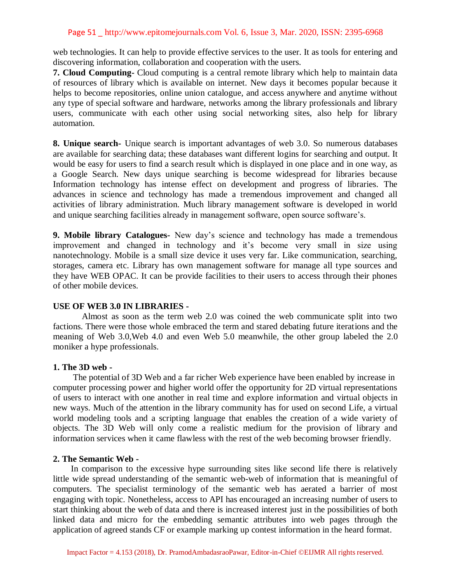### Page 51 \_ http://www.epitomejournals.com Vol. 6, Issue 3, Mar. 2020, ISSN: 2395-6968

web technologies. It can help to provide effective services to the user. It as tools for entering and discovering information, collaboration and cooperation with the users.

**7. Cloud Computing-** Cloud computing is a central remote library which help to maintain data of resources of library which is available on internet. New days it becomes popular because it helps to become repositories, online union catalogue, and access anywhere and anytime without any type of special software and hardware, networks among the library professionals and library users, communicate with each other using social networking sites, also help for library automation.

**8. Unique search-** Unique search is important advantages of web 3.0. So numerous databases are available for searching data; these databases want different logins for searching and output. It would be easy for users to find a search result which is displayed in one place and in one way, as a Google Search. New days unique searching is become widespread for libraries because Information technology has intense effect on development and progress of libraries. The advances in science and technology has made a tremendous improvement and changed all activities of library administration. Much library management software is developed in world and unique searching facilities already in management software, open source software's.

**9. Mobile library Catalogues-** New day's science and technology has made a tremendous improvement and changed in technology and it's become very small in size using nanotechnology. Mobile is a small size device it uses very far. Like communication, searching, storages, camera etc. Library has own management software for manage all type sources and they have WEB OPAC. It can be provide facilities to their users to access through their phones of other mobile devices.

### **USE OF WEB 3.0 IN LIBRARIES -**

 Almost as soon as the term web 2.0 was coined the web communicate split into two factions. There were those whole embraced the term and stared debating future iterations and the meaning of Web 3.0,Web 4.0 and even Web 5.0 meanwhile, the other group labeled the 2.0 moniker a hype professionals.

#### **1. The 3D web -**

 The potential of 3D Web and a far richer Web experience have been enabled by increase in computer processing power and higher world offer the opportunity for 2D virtual representations of users to interact with one another in real time and explore information and virtual objects in new ways. Much of the attention in the library community has for used on second Life, a virtual world modeling tools and a scripting language that enables the creation of a wide variety of objects. The 3D Web will only come a realistic medium for the provision of library and information services when it came flawless with the rest of the web becoming browser friendly.

#### **2. The Semantic Web -**

 In comparison to the excessive hype surrounding sites like second life there is relatively little wide spread understanding of the semantic web-web of information that is meaningful of computers. The specialist terminology of the semantic web has aerated a barrier of most engaging with topic. Nonetheless, access to API has encouraged an increasing number of users to start thinking about the web of data and there is increased interest just in the possibilities of both linked data and micro for the embedding semantic attributes into web pages through the application of agreed stands CF or example marking up contest information in the heard format.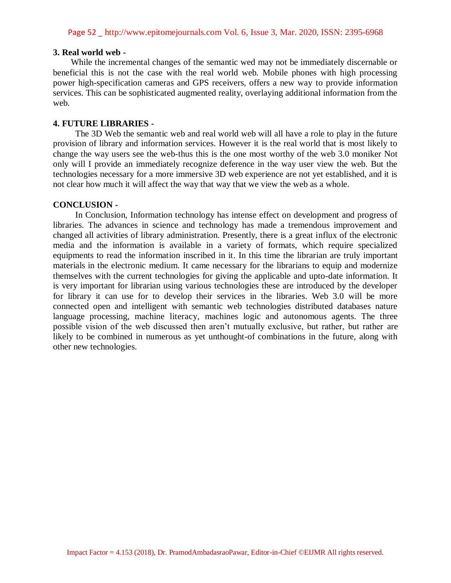## **3. Real world web -**

 While the incremental changes of the semantic wed may not be immediately discernable or beneficial this is not the case with the real world web. Mobile phones with high processing power high-specification cameras and GPS receivers, offers a new way to provide information services. This can be sophisticated augmented reality, overlaying additional information from the web.

# **4. FUTURE LIBRARIES -**

 The 3D Web the semantic web and real world web will all have a role to play in the future provision of library and information services. However it is the real world that is most likely to change the way users see the web-thus this is the one most worthy of the web 3.0 moniker Not only will I provide an immediately recognize deference in the way user view the web. But the technologies necessary for a more immersive 3D web experience are not yet established, and it is not clear how much it will affect the way that way that we view the web as a whole.

## **CONCLUSION -**

 In Conclusion, Information technology has intense effect on development and progress of libraries. The advances in science and technology has made a tremendous improvement and changed all activities of library administration. Presently, there is a great influx of the electronic media and the information is available in a variety of formats, which require specialized equipments to read the information inscribed in it. In this time the librarian are truly important materials in the electronic medium. It came necessary for the librarians to equip and modernize themselves with the current technologies for giving the applicable and upto-date information. It is very important for librarian using various technologies these are introduced by the developer for library it can use for to develop their services in the libraries. Web 3.0 will be more connected open and intelligent with semantic web technologies distributed databases nature language processing, machine literacy, machines logic and autonomous agents. The three possible vision of the web discussed then aren't mutually exclusive, but rather, but rather are likely to be combined in numerous as yet unthought-of combinations in the future, along with other new technologies.